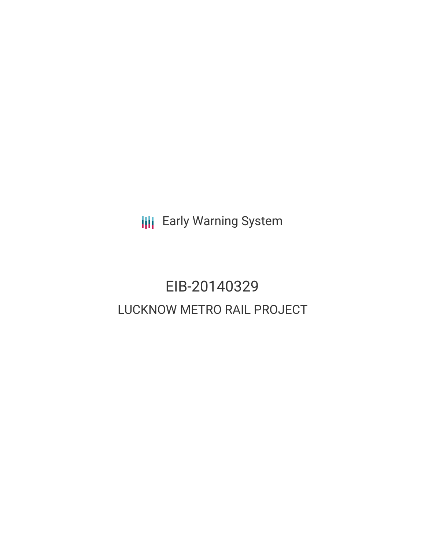**III** Early Warning System

# EIB-20140329 LUCKNOW METRO RAIL PROJECT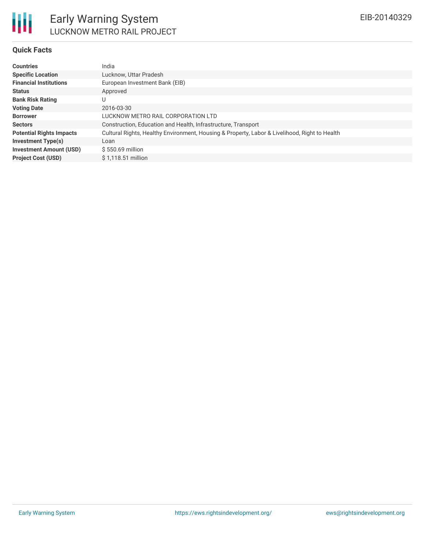## **Quick Facts**

| <b>Countries</b>                | India                                                                                         |
|---------------------------------|-----------------------------------------------------------------------------------------------|
| <b>Specific Location</b>        | Lucknow, Uttar Pradesh                                                                        |
| <b>Financial Institutions</b>   | European Investment Bank (EIB)                                                                |
| <b>Status</b>                   | Approved                                                                                      |
| <b>Bank Risk Rating</b>         | U                                                                                             |
| <b>Voting Date</b>              | 2016-03-30                                                                                    |
| <b>Borrower</b>                 | LUCKNOW METRO RAIL CORPORATION LTD                                                            |
| <b>Sectors</b>                  | Construction, Education and Health, Infrastructure, Transport                                 |
| <b>Potential Rights Impacts</b> | Cultural Rights, Healthy Environment, Housing & Property, Labor & Livelihood, Right to Health |
| <b>Investment Type(s)</b>       | Loan                                                                                          |
| <b>Investment Amount (USD)</b>  | \$550.69 million                                                                              |
| <b>Project Cost (USD)</b>       | \$1,118.51 million                                                                            |
|                                 |                                                                                               |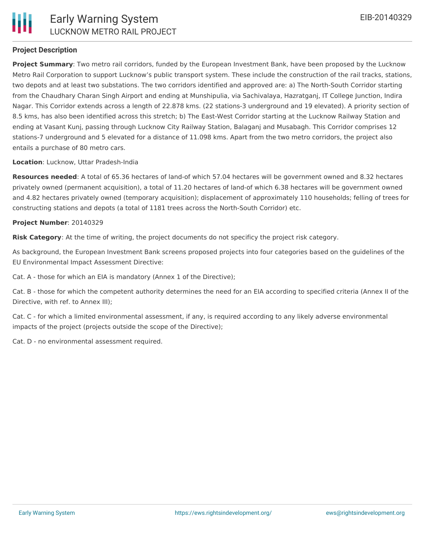# **Project Description**

**Project Summary**: Two metro rail corridors, funded by the European Investment Bank, have been proposed by the Lucknow Metro Rail Corporation to support Lucknow's public transport system. These include the construction of the rail tracks, stations, two depots and at least two substations. The two corridors identified and approved are: a) The North-South Corridor starting from the Chaudhary Charan Singh Airport and ending at Munshipulia, via Sachivalaya, Hazratganj, IT College Junction, Indira Nagar. This Corridor extends across a length of 22.878 kms. (22 stations-3 underground and 19 elevated). A priority section of 8.5 kms, has also been identified across this stretch; b) The East-West Corridor starting at the Lucknow Railway Station and ending at Vasant Kunj, passing through Lucknow City Railway Station, Balaganj and Musabagh. This Corridor comprises 12 stations-7 underground and 5 elevated for a distance of 11.098 kms. Apart from the two metro corridors, the project also entails a purchase of 80 metro cars.

**Location**: Lucknow, Uttar Pradesh-India

**Resources needed**: A total of 65.36 hectares of land-of which 57.04 hectares will be government owned and 8.32 hectares privately owned (permanent acquisition), a total of 11.20 hectares of land-of which 6.38 hectares will be government owned and 4.82 hectares privately owned (temporary acquisition); displacement of approximately 110 households; felling of trees for constructing stations and depots (a total of 1181 trees across the North-South Corridor) etc.

#### **Project Number**: 20140329

**Risk Category**: At the time of writing, the project documents do not specificy the project risk category.

As background, the European Investment Bank screens proposed projects into four categories based on the guidelines of the EU Environmental Impact Assessment Directive:

Cat. A - those for which an EIA is mandatory (Annex 1 of the Directive);

Cat. B - those for which the competent authority determines the need for an EIA according to specified criteria (Annex II of the Directive, with ref. to Annex III);

Cat. C - for which a limited environmental assessment, if any, is required according to any likely adverse environmental impacts of the project (projects outside the scope of the Directive);

Cat. D - no environmental assessment required.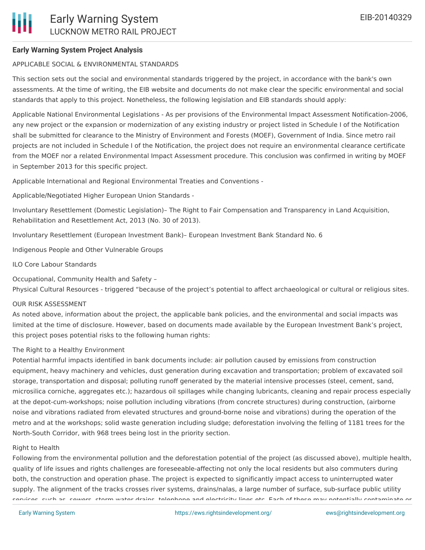# **Early Warning System Project Analysis**

## APPLICABLE SOCIAL & ENVIRONMENTAL STANDARDS

This section sets out the social and environmental standards triggered by the project, in accordance with the bank's own assessments. At the time of writing, the EIB website and documents do not make clear the specific environmental and social standards that apply to this project. Nonetheless, the following legislation and EIB standards should apply:

Applicable National Environmental Legislations - As per provisions of the Environmental Impact Assessment Notification-2006, any new project or the expansion or modernization of any existing industry or project listed in Schedule I of the Notification shall be submitted for clearance to the Ministry of Environment and Forests (MOEF), Government of India. Since metro rail projects are not included in Schedule I of the Notification, the project does not require an environmental clearance certificate from the MOEF nor a related Environmental Impact Assessment procedure. This conclusion was confirmed in writing by MOEF in September 2013 for this specific project.

Applicable International and Regional Environmental Treaties and Conventions -

Applicable/Negotiated Higher European Union Standards -

Involuntary Resettlement (Domestic Legislation)– The Right to Fair Compensation and Transparency in Land Acquisition, Rehabilitation and Resettlement Act, 2013 (No. 30 of 2013).

Involuntary Resettlement (European Investment Bank)– European Investment Bank Standard No. 6

Indigenous People and Other Vulnerable Groups

ILO Core Labour Standards

Occupational, Community Health and Safety –

Physical Cultural Resources - triggered "because of the project's potential to affect archaeological or cultural or religious sites.

#### OUR RISK ASSESSMENT

As noted above, information about the project, the applicable bank policies, and the environmental and social impacts was limited at the time of disclosure. However, based on documents made available by the European Investment Bank's project, this project poses potential risks to the following human rights:

#### The Right to a Healthy Environment

Potential harmful impacts identified in bank documents include: air pollution caused by emissions from construction equipment, heavy machinery and vehicles, dust generation during excavation and transportation; problem of excavated soil storage, transportation and disposal; polluting runoff generated by the material intensive processes (steel, cement, sand, microsilica corniche, aggregates etc.); hazardous oil spillages while changing lubricants, cleaning and repair process especially at the depot-cum-workshops; noise pollution including vibrations (from concrete structures) during construction, (airborne noise and vibrations radiated from elevated structures and ground-borne noise and vibrations) during the operation of the metro and at the workshops; solid waste generation including sludge; deforestation involving the felling of 1181 trees for the North-South Corridor, with 968 trees being lost in the priority section.

#### Right to Health

Following from the environmental pollution and the deforestation potential of the project (as discussed above), multiple health, quality of life issues and rights challenges are foreseeable-affecting not only the local residents but also commuters during both, the construction and operation phase. The project is expected to significantly impact access to uninterrupted water supply. The alignment of the tracks crosses river systems, drains/nalas, a large number of surface, sub-surface public utility services, such as, sewers, storm water drains, telephone and electricity lines etc. Each of these may potentially contaminate or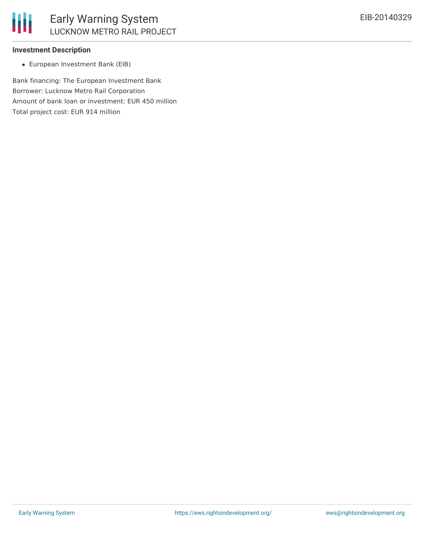

## **Investment Description**

European Investment Bank (EIB)

Bank financing: The European Investment Bank Borrower: Lucknow Metro Rail Corporation Amount of bank loan or investment: EUR 450 million Total project cost: EUR 914 million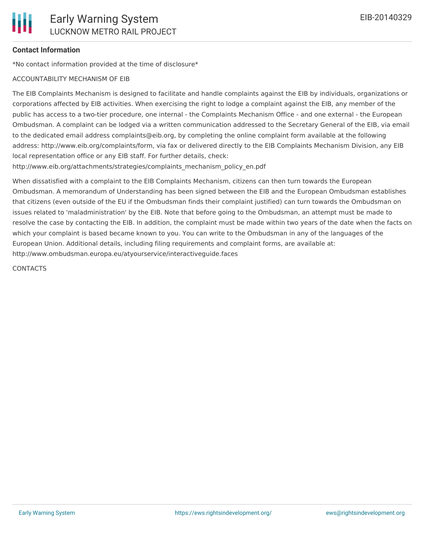# **Contact Information**

\*No contact information provided at the time of disclosure\*

#### ACCOUNTABILITY MECHANISM OF EIB

The EIB Complaints Mechanism is designed to facilitate and handle complaints against the EIB by individuals, organizations or corporations affected by EIB activities. When exercising the right to lodge a complaint against the EIB, any member of the public has access to a two-tier procedure, one internal - the Complaints Mechanism Office - and one external - the European Ombudsman. A complaint can be lodged via a written communication addressed to the Secretary General of the EIB, via email to the dedicated email address complaints@eib.org, by completing the online complaint form available at the following address: http://www.eib.org/complaints/form, via fax or delivered directly to the EIB Complaints Mechanism Division, any EIB local representation office or any EIB staff. For further details, check:

http://www.eib.org/attachments/strategies/complaints\_mechanism\_policy\_en.pdf

When dissatisfied with a complaint to the EIB Complaints Mechanism, citizens can then turn towards the European Ombudsman. A memorandum of Understanding has been signed between the EIB and the European Ombudsman establishes that citizens (even outside of the EU if the Ombudsman finds their complaint justified) can turn towards the Ombudsman on issues related to 'maladministration' by the EIB. Note that before going to the Ombudsman, an attempt must be made to resolve the case by contacting the EIB. In addition, the complaint must be made within two years of the date when the facts on which your complaint is based became known to you. You can write to the Ombudsman in any of the languages of the European Union. Additional details, including filing requirements and complaint forms, are available at: http://www.ombudsman.europa.eu/atyourservice/interactiveguide.faces

**CONTACTS**